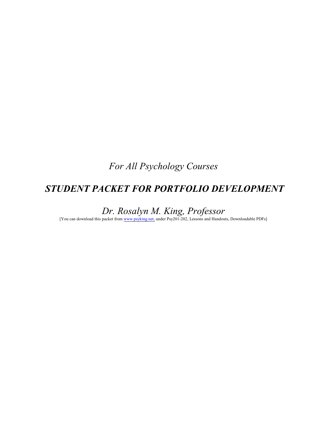*For All Psychology Courses*

# *STUDENT PACKET FOR PORTFOLIO DEVELOPMENT*

*Dr. Rosalyn M. King, Professor*

[You can download this packet from [www.psyking.net,](http://www.psyking.net,) under Psy201-202, Lessons and Handouts, Downloadable PDFs]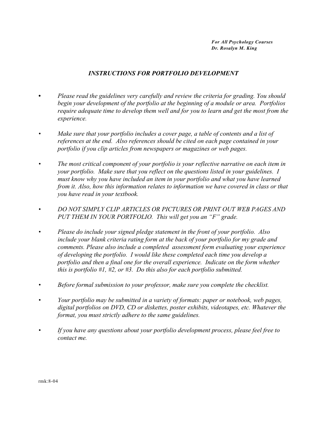*For All Psychology Courses Dr. Rosalyn M. King*

### *INSTRUCTIONS FOR PORTFOLIO DEVELOPMENT*

- *• Please read the guidelines very carefully and review the criteria for grading. You should begin your development of the portfolio at the beginning of a module or area. Portfolios require adequate time to develop them well and for you to learn and get the most from the experience.*
- *• Make sure that your portfolio includes a cover page, a table of contents and a list of references at the end. Also references should be cited on each page contained in your portfolio if you clip articles from newspapers or magazines or web pages.*
- *• The most critical component of your portfolio is your reflective narrative on each item in your portfolio. Make sure that you reflect on the questions listed in your guidelines. I must know why you have included an item in your portfolio and what you have learned from it. Also, how this information relates to information we have covered in class or that you have read in your textbook.*
- *• DO NOT SIMPLY CLIP ARTICLES OR PICTURES OR PRINT OUT WEB PAGES AND PUT THEM IN YOUR PORTFOLIO. This will get you an "F" grade.*
- *• Please do include your signed pledge statement in the front of your portfolio. Also include your blank criteria rating form at the back of your portfolio for my grade and comments. Please also include a completed assessment form evaluating your experience of developing the portfolio. I would like these completed each time you develop a portfolio and then a final one for the overall experience. Indicate on the form whether this is portfolio #1, #2, or #3. Do this also for each portfolio submitted.*
- *• Before formal submission to your professor, make sure you complete the checklist.*
- *• Your portfolio may be submitted in a variety of formats: paper or notebook, web pages, digital portfolios on DVD, CD or diskettes, poster exhibits, videotapes, etc. Whatever the format, you must strictly adhere to the same guidelines.*
- *• If you have any questions about your portfolio development process, please feel free to contact me.*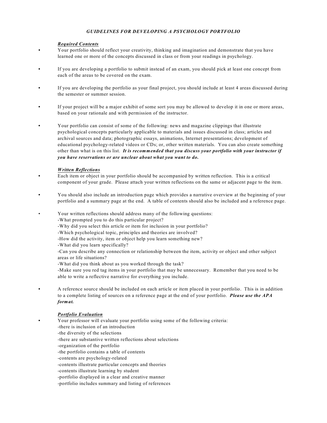#### *GUIDELINES FOR DEVELOPING A PSYCHOLOGY PORTFOLIO*

#### *Required Contents*

- *•* Your portfolio should reflect your creativity, thinking and imagination and demonstrate that you have learned one or more of the concepts discussed in class or from your readings in psychology.
- **•** If you are developing a portfolio to submit instead of an exam, you should pick at least one concept from each of the areas to be covered on the exam.
- **•** If you are developing the portfolio as your final project, you should include at least 4 areas discussed during the semester or summer session.
- **•** If your project will be a major exhibit of some sort you may be allowed to develop it in one or more areas, based on your rationale and with permission of the instructor.
- **•** Your portfolio can consist of some of the following: news and magazine clippings that illustrate psychological concepts particularly applicable to materials and issues discussed in class; articles and archival sources and data; photographic essays, animations, Internet presentations; development of educational psychology-related videos or CDs; or, other written materials. You can also create something other than what is on this list. *It is recommended that you discuss your portfolio with your instructor if you have reservations or are unclear about what you want to do.*

#### *Written Reflections*

- **•** Each item or object in your portfolio should be accompanied by written reflection. This is a critical component of your grade. Please attach your written reflections on the same or adjacent page to the item.
- **•** You should also include an introduction page which provides a narrative overview at the beginning of your portfolio and a summary page at the end. A table of contents should also be included and a reference page.
- Your written reflections should address many of the following questions:

-What prompted you to do this particular project?

- -Why did you select this article or item for inclusion in your portfolio?
- -Which psychological topic, principles and theories are involved?
- -How did the activity, item or object help you learn something new?
- -What did you learn specifically?
- -Can you describe any connection or relationship between the item, activity or object and other subject areas or life situations?
- -What did you think about as you worked through the task?
- -Make sure you red tag items in your portfolio that may be unnecessary. Remember that you need to be able to write a reflective narrative for everything you include.
- **•** A reference source should be included on each article or item placed in your portfolio. This is in addition to a complete listing of sources on a reference page at the end of your portfolio. *Please use the APA format.*

#### *Portfolio Evaluation*

**•** Your professor will evaluate your portfolio using some of the following criteria: -there is inclusion of an introduction -the diversity of the selections -there are substantive written reflections about selections -organization of the portfolio -the portfolio contains a table of contents -contents are psychology-related -contents illustrate particular concepts and theories -contents illustrate learning by student -portfolio displayed in a clear and creative manner -portfolio includes summary and listing of references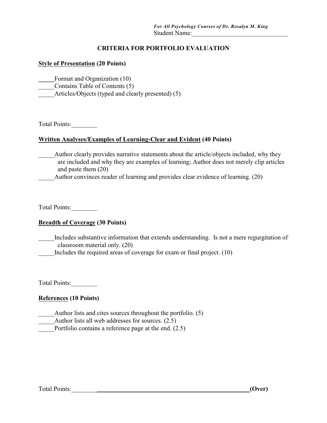### **CRITERIA FOR PORTFOLIO EVALUATION**

#### **Style of Presentation (20 Points)**

**\_\_\_\_\_**Format and Organization (10)

\_\_\_\_\_Contains Table of Contents (5)

Articles/Objects (typed and clearly presented) (5)

Total Points:\_\_\_\_\_\_\_\_

#### **Written Analyses/Examples of Learning-Clear and Evident (40 Points)**

Author clearly provides narrative statements about the article/objects included, why they are included and why they are examples of learning; Author does not merely clip articles and paste them (20)

Author convinces reader of learning and provides clear evidence of learning. (20)

Total Points:\_\_\_\_\_\_\_\_

### **Breadth of Coverage (30 Points)**

Includes substantive information that extends understanding. Is not a mere regurgitation of classroom material only. (20)

Includes the required areas of coverage for exam or final project. (10)

Total Points:

### **References (10 Points)**

Author lists and cites sources throughout the portfolio. (5) Author lists all web addresses for sources. (2.5) Portfolio contains a reference page at the end. (2.5)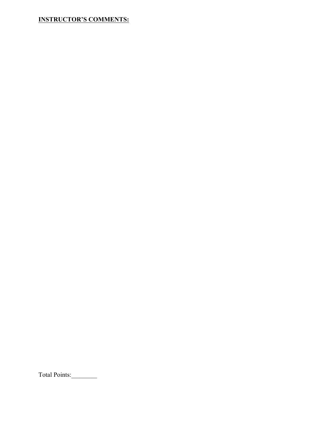### **INSTRUCTOR'S COMMENTS:**

Total Points: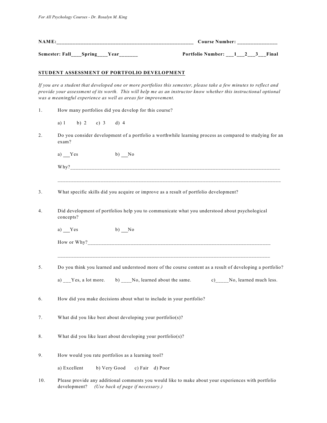| NAME:                 |             | Course Number:          |  |       |
|-----------------------|-------------|-------------------------|--|-------|
| Semester: Fall Spring | <b>Vear</b> | Portfolio Number: 1 2 3 |  | Final |

#### **STUDENT ASSESSMENT OF PORTFOLIO DEVELOPMENT**

*If you are a student that developed one or more portfolios this semester, please take a few minutes to reflect and provide your assessment of its worth. This will help me as an instructor know whether this instructional optional was a meaningful experience as well as areas for improvement.*

- 1. How many portfolios did you develop for this course?
	- a) 1 b) 2 c) 3 d) 4
- 2. Do you consider development of a portfolio a worthwhile learning process as compared to studying for an exam?

\_\_\_\_\_\_\_\_\_\_\_\_\_\_\_\_\_\_\_\_\_\_\_\_\_\_\_\_\_\_\_\_\_\_\_\_\_\_\_\_\_\_\_\_\_\_\_\_\_\_\_\_\_\_\_\_\_\_\_\_\_\_\_\_\_\_\_\_\_\_\_\_\_\_\_\_\_\_\_\_\_\_\_

a)  $Yes$  b)  $No$ 

Why?\_\_\_\_\_\_\_\_\_\_\_\_\_\_\_\_\_\_\_\_\_\_\_\_\_\_\_\_\_\_\_\_\_\_\_\_\_\_\_\_\_\_\_\_\_\_\_\_\_\_\_\_\_\_\_\_\_\_\_\_\_\_\_\_\_\_\_\_\_\_\_\_\_\_\_\_\_\_

- 3. What specific skills did you acquire or improve as a result of portfolio development?
- 4. Did development of portfolios help you to communicate what you understood about psychological concepts?

a) Yes b) No

| How or<br>'hv<br>W | ___ |
|--------------------|-----|
|                    |     |

\_\_\_\_\_\_\_\_\_\_\_\_\_\_\_\_\_\_\_\_\_\_\_\_\_\_\_\_\_\_\_\_\_\_\_\_\_\_\_\_\_\_\_\_\_\_\_\_\_\_\_\_\_\_\_\_\_\_\_\_\_\_\_\_\_\_\_\_\_\_\_\_\_\_\_\_\_\_\_

5. Do you think you learned and understood more of the course content as a result of developing a portfolio?

a) Yes, a lot more. b) No, learned about the same. c) No, learned much less.

6. How did you make decisions about what to include in your portfolio?

- 7. What did you like best about developing your portfolio(s)?
- 8. What did you like least about developing your portfolio(s)?
- 9. How would you rate portfolios as a learning tool?

a) Excellent b) Very Good c) Fair d) Poor

10. Please provide any additional comments you would like to make about your experiences with portfolio development? *(Use back of page if necessary.)*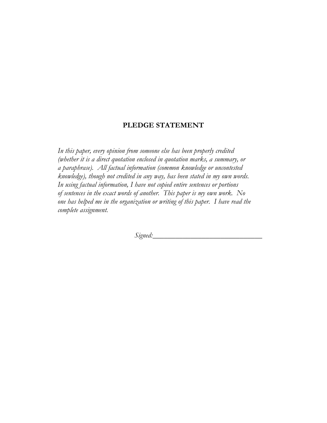#### **PLEDGE STATEMENT**

*In this paper, every opinion from someone else has been properly credited (whether it is a direct quotation enclosed in quotation marks, a summary, or a paraphrase). All factual information (common knowledge or uncontested knowledge), though not credited in any way, has been stated in my own words. In using factual information, I have not copied entire sentences or portions of sentences in the exact words of another. This paper is my own work. No one has helped me in the organization or writing of this paper. I have read the complete assignment.*

*Signed:*